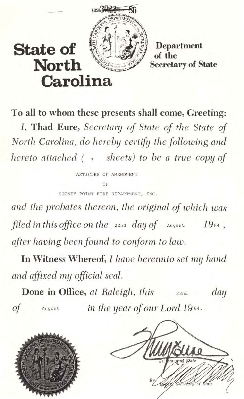

**North** 

## **Secretary of State**

**To all to whom these presents shall come, Greeting: J, Thad Eure,** *Secrctary of State of the State of North Carolina, do hereby certify the following and hereto attached* (3 *sheets) to be a true copy of* 

> ARTICLES OF AMENDMENT OF STONEY POINT FIRE DEPARTMENT, INC.

*and the probates thereon, the original of which was filed in this office on the*   $_{22n\text{d}}$  *day of*  $_{\text{august}}$  19 $_{84}$ , *after having been found to conform to law.* 

**In Witness Whereof, I** *have hereunto set* my *hand alld affixed my official seal.* 

**Done in Office,** at Raleigh, this **22nd** *day of* **Au gust** *in thc yea* I' *of* OU I' *Lord* 19 <sup>84</sup> .



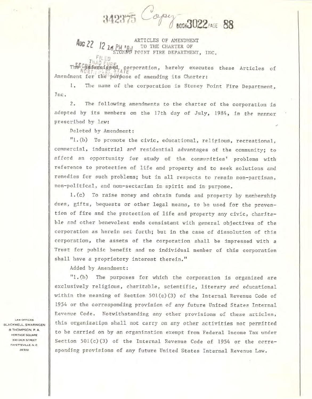342375 **BOOK3022 PAGE 88** 

Aug 22 12 16 PM PM TO THE CHARTER OF ARTICLES OF AMENDMENT FILED

The Childersigned corporation, hereby executes these Articles of Amendment for the purpose of amending its Charter:

1. The name of the corporation is Stoney Point Fire Department, Jnc.

The following amendments to the charter of the corporation is  $2.$ adopted by its members on the 17th day of July, 1984, in the manner prescribed by law:

Deleted by Amendment:

"1.(b) To promote the civic, educational, religious, recreational, commercial, industrial and residential advantages of the community; to afford an opportunity for study of the communities' problems with reference to protection of life and property and to seek solutions and remedies for such problems; but in all respects to remain non-partisan, non-political, and non-sectarian in spirit and in purpose.

1.(c) To raise money and obtain funds and property by membership dues, gifts, bequests or other legal means, to be used for the prevention of fire and the protection of life and property any civic, charitable and other benevolent ends consistant with general objectives of the corporation as herein set forth; but in the case of dissolution of this corporation, the assets of the corporation shall be impressed with a Trust for public benefit and no individual member of this corporation shall have a proprietory interest therein."

Added by Amendment:

"1.(h) The purposes for which the corporation is organized are exclusively religious, charitable, scientific, literary and educational within the meaning of Section 501(c)(3) of the Internal Revenue Code of 1954 or the corresponding provision of any future United States Internal Revenue Code. Notwithstanding any other provisions of these articles, this organization shall not carry on any other activities not permitted to be carried on by an organization exempt from Federal Income Tax under Section 501(c)(3) of the Internal Revenue Code of 1954 or the corresponding provisions of any future United States Internal Revenue Law.

LAW OFFICES **BLACKWELL, SWARINGEN** & THOMPSON, P. A. HERITAGE SQUARE 300 DICK STREET FAYETTEVILLE N C 28302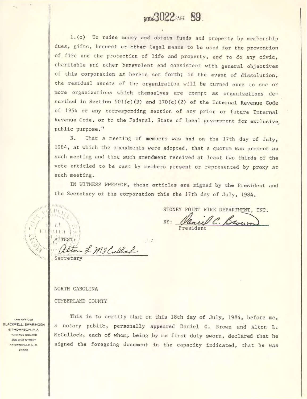## **BOOK3022 FAGE 89.**

1. (c) To raise money and obtain funds and property by membership dues, gifts, bequest or other legal means to be used for the prevention of fire and the protection of life and property, and to do any civic, charitable and other berevolent end consistent with general objectives of this corporation as herein set forth; in the event of dissolution, the residual assets of the organization will be turned over to one or more organizations which themselves are exempt as organizations described in Section 501(c)(3) and 170(c)(2) of the Internal Revenue Code of 1954 or any corresponding section of any prior or future Internal Revenue Code, or to the Federal, State of local government for exclusive public purpose."

 $3.$ That a meeting of members was had on the 17th day of July, 1984, at which the amendments were adopted, that a quorum was present as such meeting and that such amendment received at least two thirds of the vote entitled to be cast by members present or represented by proxy at such meeting.

IN WITNESS WHEREOF, these articles are signed by the President and the Secretary of the corporation this the 17th day of July, 1984.

STONEY POINT FIRE DEPARTMENT, INC. ul C. Brown BY:

Secretary

ATTEST:

**HATHA** 

 $11/2$ 

 $\cup$ 

 $111$ 

NORTH CAROLINA

CUMBERLAND COUNTY

- L. M. Cullad

**LAW OFFICES BLACKWELL, SWARINGEN** & THOMPSON, P. A. HERITAGE SQUARE 300 DICK STREET FAYETTEVILLE N.C. 28302

This is to certify that on this 18th day of July, 1984, before me, a notary public, personally appeared Daniel C. Brown and Alton L. McCullock, each of whom, being by me first duly sworn, declared that he signed the foregoing document in the capacity indicated, that he was